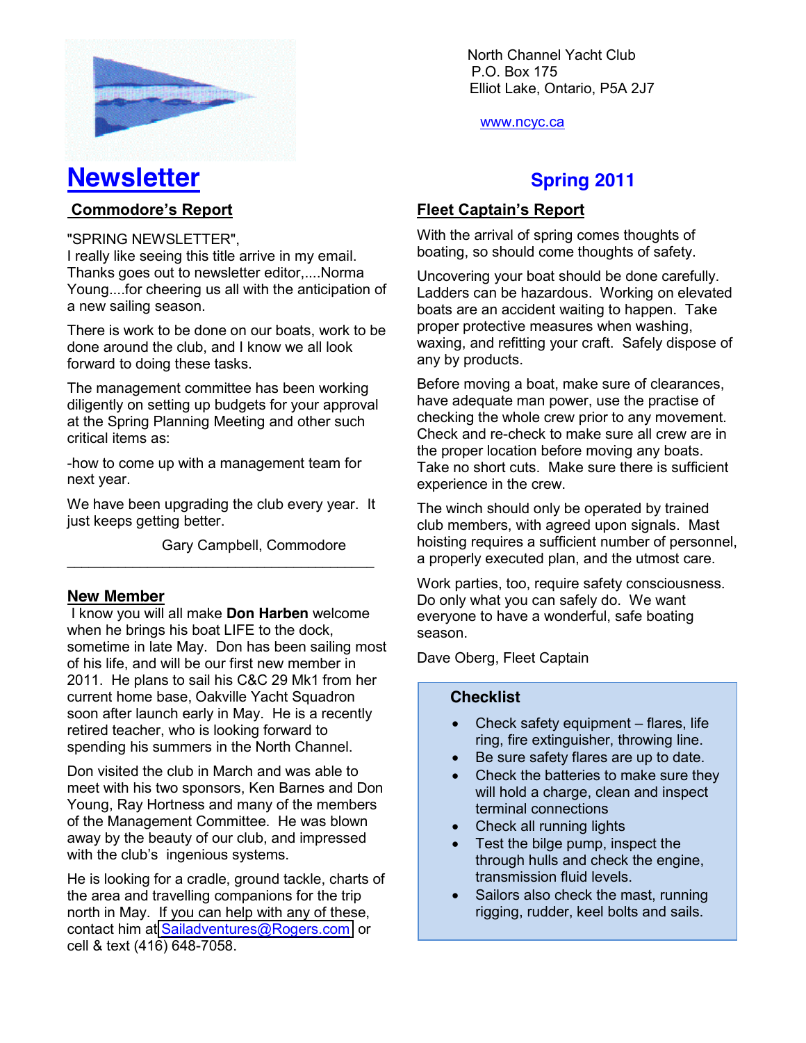

**Newsletter** Spring 2011

#### **Commodore's Report**

"SPRING NEWSLETTER",

I really like seeing this title arrive in my email. Thanks goes out to newsletter editor,....Norma Young....for cheering us all with the anticipation of a new sailing season.

There is work to be done on our boats, work to be done around the club, and I know we all look forward to doing these tasks.

The management committee has been working diligently on setting up budgets for your approval at the Spring Planning Meeting and other such critical items as:

-how to come up with a management team for next year.

We have been upgrading the club every year. It just keeps getting better.

 $\mathcal{L}_\text{max}$  , and the contract of the contract of the contract of the contract of the contract of the contract of the contract of the contract of the contract of the contract of the contract of the contract of the contr

Gary Campbell, Commodore

#### **New Member**

I know you will all make **Don Harben** welcome when he brings his boat LIFE to the dock, sometime in late May. Don has been sailing most of his life, and will be our first new member in 2011. He plans to sail his C&C 29 Mk1 from her current home base, Oakville Yacht Squadron soon after launch early in May. He is a recently retired teacher, who is looking forward to spending his summers in the North Channel.

Don visited the club in March and was able to meet with his two sponsors, Ken Barnes and Don Young, Ray Hortness and many of the members of the Management Committee. He was blown away by the beauty of our club, and impressed with the club's ingenious systems.

He is looking for a cradle, ground tackle, charts of the area and travelling companions for the trip north in May. If you can help with any of these, contact him at [Sailadventures@Rogers.com](mailto:Sailadventures@Rogers.com) or cell & text (416) 648-7058.

North Channel Yacht Club \ P.O. Box 175 Elliot Lake, Ontario, P5A 2J7

www.ncyc.ca

### **Fleet Captain's Report**

With the arrival of spring comes thoughts of boating, so should come thoughts of safety.

Uncovering your boat should be done carefully. Ladders can be hazardous. Working on elevated boats are an accident waiting to happen. Take proper protective measures when washing, waxing, and refitting your craft. Safely dispose of any by products.

Before moving a boat, make sure of clearances, have adequate man power, use the practise of checking the whole crew prior to any movement. Check and re-check to make sure all crew are in the proper location before moving any boats. Take no short cuts. Make sure there is sufficient experience in the crew.

The winch should only be operated by trained club members, with agreed upon signals. Mast hoisting requires a sufficient number of personnel, a properly executed plan, and the utmost care.

Work parties, too, require safety consciousness. Do only what you can safely do. We want everyone to have a wonderful, safe boating season.

Dave Oberg, Fleet Captain

#### **Checklist**

- Check safety equipment  $-$  flares, life ring, fire extinguisher, throwing line.
- Be sure safety flares are up to date.
- Check the batteries to make sure they will hold a charge, clean and inspect terminal connections
- Check all running lights
- Test the bilge pump, inspect the through hulls and check the engine, transmission fluid levels.
- Sailors also check the mast, running rigging, rudder, keel bolts and sails.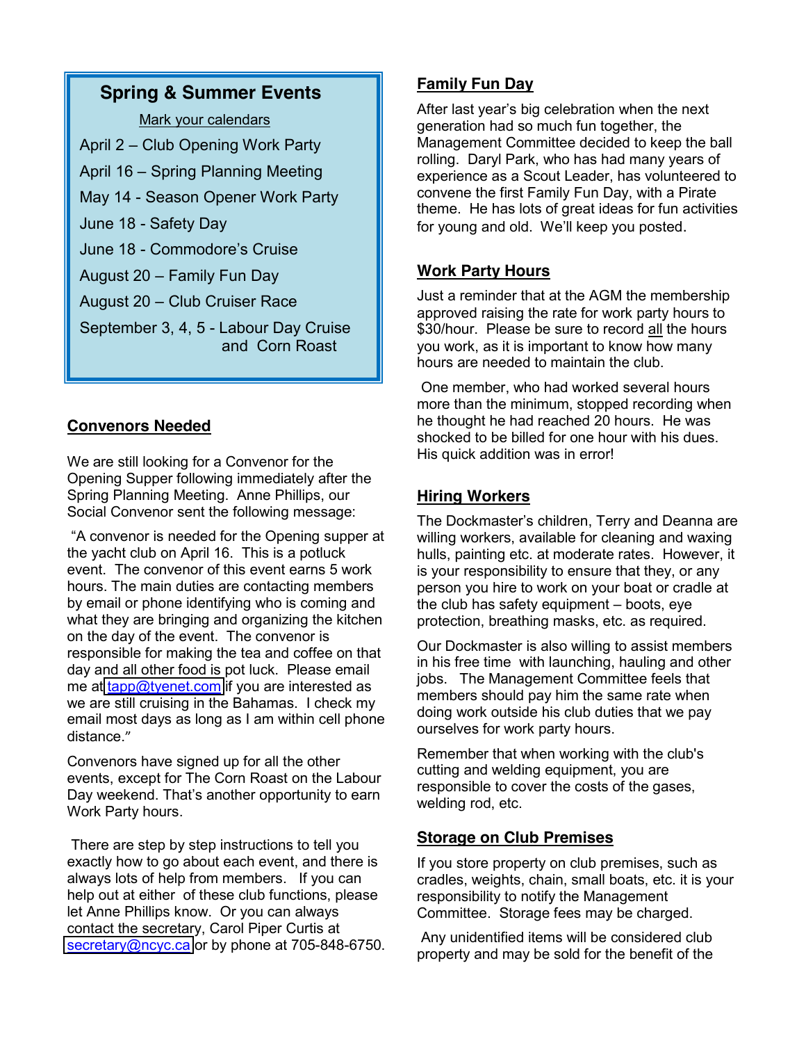# **Spring & Summer Events**

Mark your calendars

- April 2 Club Opening Work Party
- April 16 Spring Planning Meeting
- May 14 Season Opener Work Party
- June 18 Safety Day
- June 18 Commodore's Cruise
- August  $20 -$  Family Fun Day
- August 20 Club Cruiser Race
- September 3, 4, 5 Labour Day Cruise and Corn Roast

# **Convenors Needed**

We are still looking for a Convenor for the Opening Supper following immediately after the Spring Planning Meeting. Anne Phillips, our Social Convenor sent the following message:

"A convenor is needed for the Opening supper at the yacht club on April 16. This is a potluck event. The convenor of this event earns 5 work hours. The main duties are contacting members by email or phone identifying who is coming and what they are bringing and organizing the kitchen on the day of the event. The convenor is responsible for making the tea and coffee on that day and all other food is pot luck. Please email me at [tapp@tyenet.com](mailto:tapp@tyenet.com) if you are interested as we are still cruising in the Bahamas. I check my email most days as long as I am within cell phone distance."

Convenors have signed up for all the other events, except for The Corn Roast on the Labour Day weekend. That's another opportunity to earn Work Party hours.

There are step by step instructions to tell you exactly how to go about each event, and there is always lots of help from members. If you can help out at either of these club functions, please let Anne Phillips know. Or you can always contact the secretary, Carol Piper Curtis at [secretary@ncyc.ca](mailto:secretary@ncyc.ca) or by phone at 705-848-6750.

# **Family Fun Day**

After last year's big celebration when the next generation had so much fun together, the Management Committee decided to keep the ball rolling. Daryl Park, who has had many years of experience as a Scout Leader, has volunteered to convene the first Family Fun Day, with a Pirate theme. He has lots of great ideas for fun activities for young and old. We'll keep you posted.

# **Work Party Hours**

Just a reminder that at the AGM the membership approved raising the rate for work party hours to \$30/hour. Please be sure to record all the hours you work, as it is important to know how many hours are needed to maintain the club.

One member, who had worked several hours more than the minimum, stopped recording when he thought he had reached 20 hours. He was shocked to be billed for one hour with his dues. His quick addition was in error!

# **Hiring Workers**

The Dockmaster's children, Terry and Deanna are willing workers, available for cleaning and waxing hulls, painting etc. at moderate rates. However, it is your responsibility to ensure that they, or any person you hire to work on your boat or cradle at the club has safety equipment  $-$  boots, eye protection, breathing masks, etc. as required.

Our Dockmaster is also willing to assist members in his free time with launching, hauling and other jobs. The Management Committee feels that members should pay him the same rate when doing work outside his club duties that we pay ourselves for work party hours.

Remember that when working with the club's cutting and welding equipment, you are responsible to cover the costs of the gases, welding rod, etc.

#### **Storage on Club Premises**

If you store property on club premises, such as cradles, weights, chain, small boats, etc. it is your responsibility to notify the Management Committee. Storage fees may be charged.

Any unidentified items will be considered club property and may be sold for the benefit of the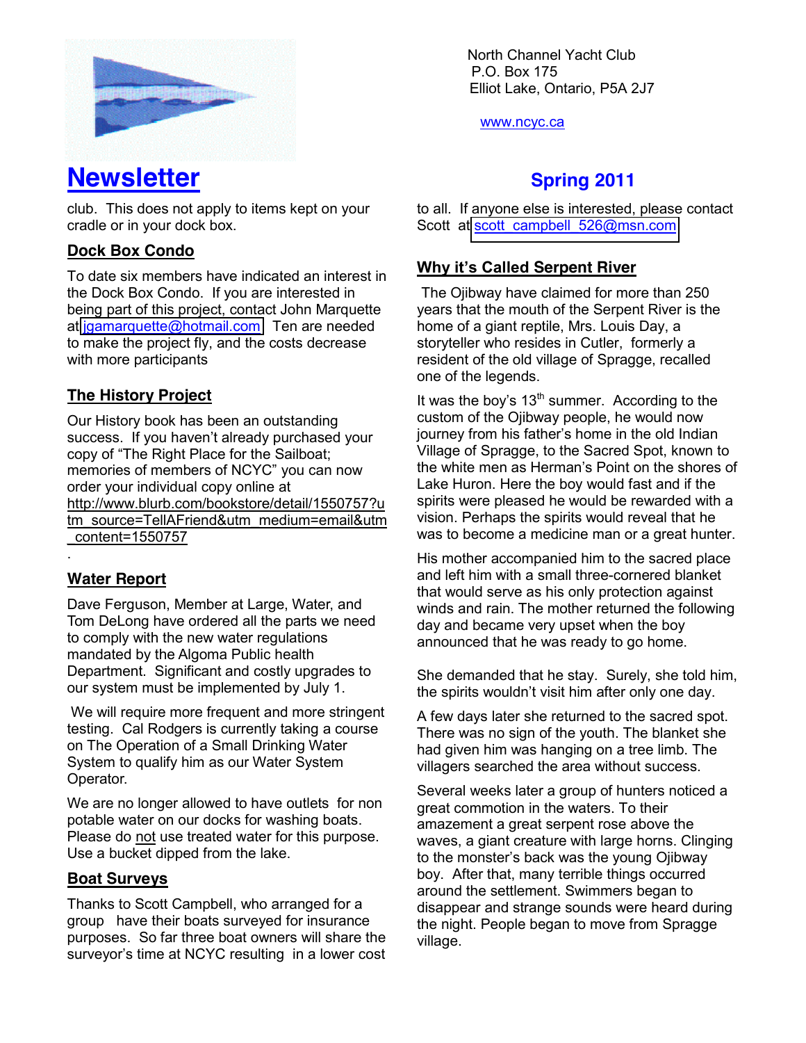

# **Newsletter** Spring 2011

club. This does not apply to items kept on your cradle or in your dock box.

## **Dock Box Condo**

To date six members have indicated an interest in the Dock Box Condo. If you are interested in being part of this project, contact John Marquette at [jgamarquette@hotmail.com](mailto:jgamarquette@hotmail.com) Ten are needed to make the project fly, and the costs decrease with more participants

## **The History Project**

Our History book has been an outstanding success. If you haven't already purchased your copy of "The Right Place for the Sailboat; memories of members of NCYC" you can now order your individual copy online at http://www.blurb.com/bookstore/detail/1550757?u tm\_source=TellAFriend&utm\_medium=email&utm \_content=1550757

#### **Water Report**

.

Dave Ferguson, Member at Large, Water, and Tom DeLong have ordered all the parts we need to comply with the new water regulations mandated by the Algoma Public health Department. Significant and costly upgrades to our system must be implemented by July 1.

We will require more frequent and more stringent testing. Cal Rodgers is currently taking a course on The Operation of a Small Drinking Water System to qualify him as our Water System Operator.

We are no longer allowed to have outlets for non potable water on our docks for washing boats. Please do not use treated water for this purpose. Use a bucket dipped from the lake.

#### **Boat Surveys**

Thanks to Scott Campbell, who arranged for a group have their boats surveyed for insurance purposes. So far three boat owners will share the surveyor's time at NCYC resulting in a lower cost North Channel Yacht Club \ P.O. Box 175 Elliot Lake, Ontario, P5A 2J7

www.ncyc.ca

to all. If anyone else is interested, please contact Scott at scott campbell 526@msn.com

### **Why it's Called Serpent River**

The Ojibway have claimed for more than 250 years that the mouth of the Serpent River is the home of a giant reptile, Mrs. Louis Day, a storyteller who resides in Cutler, formerly a resident of the old village of Spragge, recalled one of the legends.

It was the boy's  $13<sup>th</sup>$  summer. According to the custom of the Ojibway people, he would now journey from his father's home in the old Indian Village of Spragge, to the Sacred Spot, known to the white men as Herman's Point on the shores of Lake Huron. Here the boy would fast and if the spirits were pleased he would be rewarded with a vision. Perhaps the spirits would reveal that he was to become a medicine man or a great hunter.

His mother accompanied him to the sacred place and left him with a small three-cornered blanket that would serve as his only protection against winds and rain. The mother returned the following day and became very upset when the boy announced that he was ready to go home.

She demanded that he stay. Surely, she told him, the spirits wouldn't visit him after only one day.

A few days later she returned to the sacred spot. There was no sign of the youth. The blanket she had given him was hanging on a tree limb. The villagers searched the area without success.

Several weeks later a group of hunters noticed a great commotion in the waters. To their amazement a great serpent rose above the waves, a giant creature with large horns. Clinging to the monster's back was the young Ojibway boy. After that, many terrible things occurred around the settlement. Swimmers began to disappear and strange sounds were heard during the night. People began to move from Spragge village.